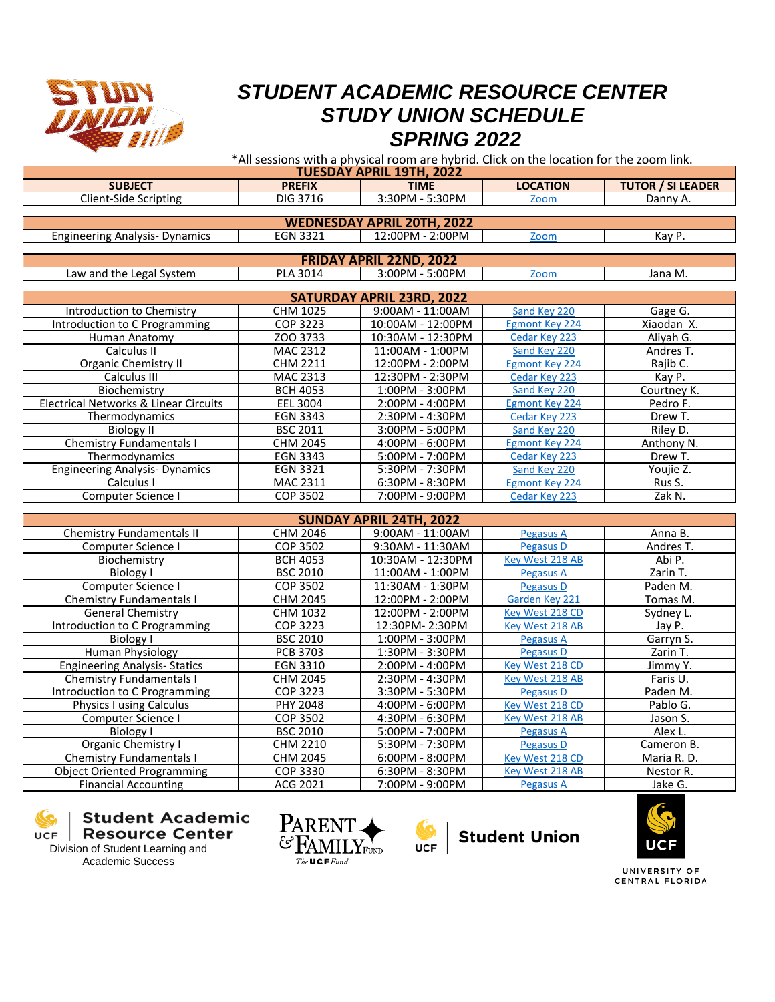

## *STUDENT ACADEMIC RESOURCE CENTER STUDY UNION SCHEDULE SPRING 2022*

\*All sessions with a physical room are hybrid. Click on the location for the zoom link.

| <b>TUESDAY APRIL 19TH, 2022</b>                  |                         |                                      |                       |                          |  |  |  |  |
|--------------------------------------------------|-------------------------|--------------------------------------|-----------------------|--------------------------|--|--|--|--|
| <b>SUBJECT</b>                                   | <b>PREFIX</b>           | <b>TIME</b>                          | <b>LOCATION</b>       | <b>TUTOR / SI LEADER</b> |  |  |  |  |
| <b>Client-Side Scripting</b>                     | <b>DIG 3716</b>         | 3:30PM - 5:30PM                      | Zoom                  | Danny A.                 |  |  |  |  |
|                                                  |                         |                                      |                       |                          |  |  |  |  |
| <b>WEDNESDAY APRIL 20TH, 2022</b>                |                         |                                      |                       |                          |  |  |  |  |
| <b>Engineering Analysis- Dynamics</b>            | <b>EGN 3321</b>         | 12:00PM - 2:00PM                     | Zoom                  | Kay P.                   |  |  |  |  |
|                                                  |                         |                                      |                       |                          |  |  |  |  |
|                                                  | FRIDAY APRIL 22ND, 2022 |                                      |                       |                          |  |  |  |  |
| Law and the Legal System                         | <b>PLA 3014</b>         | 3:00PM - 5:00PM                      | Zoom                  | Jana M.                  |  |  |  |  |
| <b>SATURDAY APRIL 23RD, 2022</b>                 |                         |                                      |                       |                          |  |  |  |  |
|                                                  |                         | 9:00AM - 11:00AM                     |                       |                          |  |  |  |  |
| Introduction to Chemistry                        | CHM 1025                |                                      | Sand Key 220          | Gage G.                  |  |  |  |  |
| Introduction to C Programming                    | <b>COP 3223</b>         | 10:00AM - 12:00PM                    | <b>Egmont Key 224</b> | Xiaodan X.               |  |  |  |  |
| Human Anatomy                                    | ZOO 3733                | 10:30AM - 12:30PM                    | Cedar Key 223         | Aliyah G.                |  |  |  |  |
| Calculus II                                      | MAC 2312                | 11:00AM - 1:00PM                     | Sand Key 220          | Andres T.                |  |  |  |  |
| <b>Organic Chemistry II</b>                      | <b>CHM 2211</b>         | 12:00PM - 2:00PM                     | <b>Egmont Key 224</b> | Rajib C.                 |  |  |  |  |
| Calculus III                                     | MAC 2313                | 12:30PM - 2:30PM                     | Cedar Key 223         | Kay P.                   |  |  |  |  |
| Biochemistry                                     | <b>BCH 4053</b>         | 1:00PM - 3:00PM                      | Sand Key 220          | Courtney K.              |  |  |  |  |
| <b>Electrical Networks &amp; Linear Circuits</b> | <b>EEL 3004</b>         | 2:00PM - 4:00PM                      | <b>Egmont Key 224</b> | Pedro F.                 |  |  |  |  |
| Thermodynamics                                   | <b>EGN 3343</b>         | 2:30PM - 4:30PM                      | Cedar Key 223         | Drew T.                  |  |  |  |  |
| <b>Biology II</b>                                | <b>BSC 2011</b>         | 3:00PM - 5:00PM                      | Sand Key 220          | Riley D.                 |  |  |  |  |
| <b>Chemistry Fundamentals I</b>                  | <b>CHM 2045</b>         | 4:00PM - 6:00PM                      | Egmont Key 224        | Anthony N.               |  |  |  |  |
| Thermodynamics                                   | <b>EGN 3343</b>         | 5:00PM - 7:00PM                      | Cedar Key 223         | Drew T.                  |  |  |  |  |
| <b>Engineering Analysis- Dynamics</b>            | <b>EGN 3321</b>         | 5:30PM - 7:30PM                      | Sand Key 220          | Youjie Z.                |  |  |  |  |
| Calculus I                                       | MAC 2311                | 6:30PM - 8:30PM                      | <b>Egmont Key 224</b> | Rus S.                   |  |  |  |  |
| <b>Computer Science I</b>                        | <b>COP 3502</b>         | 7:00PM - 9:00PM                      | Cedar Key 223         | Zak N.                   |  |  |  |  |
|                                                  |                         | <b>SUNDAY APRIL 24TH, 2022</b>       |                       |                          |  |  |  |  |
| <b>Chemistry Fundamentals II</b>                 | <b>CHM 2046</b>         | 9:00AM - 11:00AM                     | Pegasus A             | Anna B.                  |  |  |  |  |
| Computer Science I                               | <b>COP 3502</b>         | 9:30AM - 11:30AM                     | Pegasus D             | Andres T.                |  |  |  |  |
| Biochemistry                                     | <b>BCH 4053</b>         | 10:30AM - 12:30PM                    |                       | Abi P.                   |  |  |  |  |
|                                                  | <b>BSC 2010</b>         |                                      | Key West 218 AB       | Zarin T.                 |  |  |  |  |
| <b>Biology I</b>                                 |                         | 11:00AM - 1:00PM<br>11:30AM - 1:30PM | Pegasus A             |                          |  |  |  |  |
| <b>Computer Science I</b>                        | <b>COP 3502</b>         | 12:00PM - 2:00PM                     | Pegasus D             | Paden M.                 |  |  |  |  |
| <b>Chemistry Fundamentals I</b>                  | <b>CHM 2045</b>         | 12:00PM - 2:00PM                     | Garden Key 221        | Tomas M.                 |  |  |  |  |
| <b>General Chemistry</b>                         | CHM 1032                |                                      | Key West 218 CD       | Sydney L.                |  |  |  |  |
| Introduction to C Programming                    | <b>COP 3223</b>         | 12:30PM-2:30PM                       | Key West 218 AB       | Jay P.                   |  |  |  |  |
| <b>Biology I</b>                                 | <b>BSC 2010</b>         | 1:00PM - 3:00PM                      | Pegasus A             | Garryn S.                |  |  |  |  |
| Human Physiology                                 | <b>PCB 3703</b>         | 1:30PM - 3:30PM                      | <b>Pegasus D</b>      | Zarin T.                 |  |  |  |  |
| <b>Engineering Analysis- Statics</b>             | <b>EGN 3310</b>         | 2:00PM - 4:00PM                      | Key West 218 CD       | Jimmy Y.                 |  |  |  |  |
| <b>Chemistry Fundamentals I</b>                  | <b>CHM 2045</b>         | 2:30PM - 4:30PM                      | Key West 218 AB       | Faris U.                 |  |  |  |  |
| Introduction to C Programming                    | <b>COP 3223</b>         | 3:30PM - 5:30PM                      | Pegasus D             | Paden M.                 |  |  |  |  |
| <b>Physics I using Calculus</b>                  | <b>PHY 2048</b>         | 4:00PM - 6:00PM                      | Key West 218 CD       | Pablo G.                 |  |  |  |  |
| Computer Science I                               | <b>COP 3502</b>         | 4:30PM - 6:30PM                      | Key West 218 AB       | Jason S.                 |  |  |  |  |
| Biology I                                        | <b>BSC 2010</b>         | 5:00PM - 7:00PM                      | Pegasus A             | Alex L.                  |  |  |  |  |
| <b>Organic Chemistry I</b>                       | <b>CHM 2210</b>         | 5:30PM - 7:30PM                      | Pegasus D             | Cameron B.               |  |  |  |  |
| <b>Chemistry Fundamentals I</b>                  | <b>CHM 2045</b>         | 6:00PM - 8:00PM                      | Key West 218 CD       | Maria R.D.               |  |  |  |  |
| <b>Object Oriented Programming</b>               | <b>COP 3330</b>         | 6:30PM - 8:30PM                      | Key West 218 AB       | Nestor R.                |  |  |  |  |
| <b>Financial Accounting</b>                      | ACG 2021                | 7:00PM - 9:00PM                      | Pegasus A             | Jake G.                  |  |  |  |  |



**Student Academic Resource Center** Division of Student Learning and

Academic Success







UNIVERSITY OF CENTRAL FLORIDA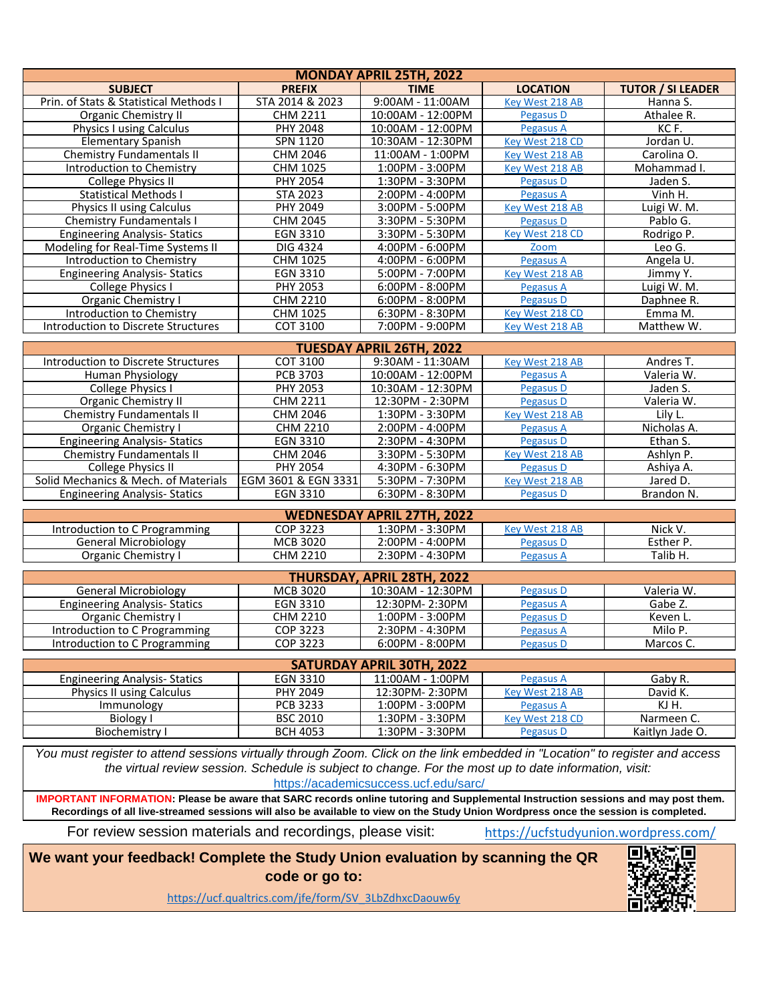| <b>MONDAY APRIL 25TH, 2022</b>             |                     |                                   |                  |                          |  |  |  |
|--------------------------------------------|---------------------|-----------------------------------|------------------|--------------------------|--|--|--|
| <b>SUBJECT</b>                             | <b>PREFIX</b>       | <b>TIME</b>                       | <b>LOCATION</b>  | <b>TUTOR / SI LEADER</b> |  |  |  |
| Prin. of Stats & Statistical Methods I     | STA 2014 & 2023     | 9:00AM - 11:00AM                  | Key West 218 AB  | Hanna S.                 |  |  |  |
| <b>Organic Chemistry II</b>                | <b>CHM 2211</b>     | 10:00AM - 12:00PM                 | Pegasus D        | Athalee R.               |  |  |  |
| <b>Physics I using Calculus</b>            | <b>PHY 2048</b>     | 10:00AM - 12:00PM                 | Pegasus A        | KCF.                     |  |  |  |
| <b>Elementary Spanish</b>                  | SPN 1120            | 10:30AM - 12:30PM                 | Key West 218 CD  | Jordan U.                |  |  |  |
| <b>Chemistry Fundamentals II</b>           | <b>CHM 2046</b>     | 11:00AM - 1:00PM                  | Key West 218 AB  | Carolina O.              |  |  |  |
| Introduction to Chemistry                  | <b>CHM 1025</b>     | 1:00PM - 3:00PM                   | Key West 218 AB  | Mohammad I.              |  |  |  |
| <b>College Physics II</b>                  | <b>PHY 2054</b>     | 1:30PM - 3:30PM                   | Pegasus D        | Jaden S.                 |  |  |  |
| <b>Statistical Methods I</b>               | <b>STA 2023</b>     | 2:00PM - 4:00PM                   | Pegasus A        | Vinh H.                  |  |  |  |
| <b>Physics II using Calculus</b>           | <b>PHY 2049</b>     | 3:00PM - 5:00PM                   | Key West 218 AB  | Luigi W. M.              |  |  |  |
| <b>Chemistry Fundamentals I</b>            | <b>CHM 2045</b>     | 3:30PM - 5:30PM                   | Pegasus D        | Pablo G.                 |  |  |  |
| <b>Engineering Analysis- Statics</b>       | <b>EGN 3310</b>     | 3:30PM - 5:30PM                   | Key West 218 CD  | Rodrigo P.               |  |  |  |
| Modeling for Real-Time Systems II          | <b>DIG 4324</b>     | 4:00PM - 6:00PM                   | Zoom             | Leo G.                   |  |  |  |
| Introduction to Chemistry                  | CHM 1025            | 4:00PM - 6:00PM                   | Pegasus A        | Angela U.                |  |  |  |
| <b>Engineering Analysis- Statics</b>       | <b>EGN 3310</b>     | 5:00PM - 7:00PM                   | Key West 218 AB  | Jimmy Y.                 |  |  |  |
| College Physics I                          | <b>PHY 2053</b>     | 6:00PM - 8:00PM                   | Pegasus A        | Luigi W. M.              |  |  |  |
| <b>Organic Chemistry I</b>                 | <b>CHM 2210</b>     | 6:00PM - 8:00PM                   | <b>Pegasus D</b> | Daphnee R.               |  |  |  |
| Introduction to Chemistry                  | <b>CHM 1025</b>     | 6:30PM - 8:30PM                   | Key West 218 CD  | Emma M.                  |  |  |  |
| Introduction to Discrete Structures        | <b>COT 3100</b>     | 7:00PM - 9:00PM                   | Key West 218 AB  | Matthew W.               |  |  |  |
|                                            |                     | <b>TUESDAY APRIL 26TH, 2022</b>   |                  |                          |  |  |  |
| <b>Introduction to Discrete Structures</b> | <b>COT 3100</b>     | 9:30AM - 11:30AM                  | Key West 218 AB  | Andres T.                |  |  |  |
| Human Physiology                           | <b>PCB 3703</b>     | 10:00AM - 12:00PM                 | Pegasus A        | Valeria W.               |  |  |  |
| College Physics I                          | PHY 2053            | 10:30AM - 12:30PM                 | Pegasus D        | Jaden S.                 |  |  |  |
| <b>Organic Chemistry II</b>                | <b>CHM 2211</b>     | 12:30PM - 2:30PM                  | Pegasus D        | Valeria W.               |  |  |  |
| <b>Chemistry Fundamentals II</b>           | <b>CHM 2046</b>     | 1:30PM - 3:30PM                   | Key West 218 AB  | Lily L.                  |  |  |  |
| <b>Organic Chemistry I</b>                 | <b>CHM 2210</b>     | 2:00PM - 4:00PM                   | Pegasus A        | Nicholas A.              |  |  |  |
| <b>Engineering Analysis- Statics</b>       | <b>EGN 3310</b>     | 2:30PM - 4:30PM                   | Pegasus D        | Ethan S.                 |  |  |  |
| <b>Chemistry Fundamentals II</b>           | <b>CHM 2046</b>     | 3:30PM - 5:30PM                   | Key West 218 AB  | Ashlyn P.                |  |  |  |
| <b>College Physics II</b>                  | <b>PHY 2054</b>     | 4:30PM - 6:30PM                   | Pegasus D        | Ashiya A.                |  |  |  |
| Solid Mechanics & Mech. of Materials       | EGM 3601 & EGN 3331 | 5:30PM - 7:30PM                   | Key West 218 AB  | Jared D.                 |  |  |  |
| <b>Engineering Analysis- Statics</b>       | <b>EGN 3310</b>     | $6:30PM - 8:30PM$                 | <b>Pegasus D</b> | Brandon N.               |  |  |  |
| <b>WEDNESDAY APRIL 27TH, 2022</b>          |                     |                                   |                  |                          |  |  |  |
| <b>Introduction to C Programming</b>       | <b>COP 3223</b>     | 1:30PM - 3:30PM                   | Key West 218 AB  | Nick V.                  |  |  |  |
| <b>General Microbiology</b>                | <b>MCB 3020</b>     | 2:00PM - 4:00PM                   | Pegasus D        | Esther P.                |  |  |  |
| <b>Organic Chemistry I</b>                 | <b>CHM 2210</b>     | 2:30PM - 4:30PM                   | Pegasus A        | Talib H.                 |  |  |  |
|                                            |                     |                                   |                  |                          |  |  |  |
|                                            |                     | <b>THURSDAY, APRIL 28TH, 2022</b> |                  |                          |  |  |  |
| <b>General Microbiology</b>                | <b>MCB 3020</b>     | 10:30AM - 12:30PM                 | Pegasus D        | Valeria W.               |  |  |  |
| <b>Engineering Analysis- Statics</b>       | <b>EGN 3310</b>     | 12:30PM-2:30PM                    | Pegasus A        | Gabe Z.                  |  |  |  |
| <b>Organic Chemistry I</b>                 | <b>CHM 2210</b>     | 1:00PM - 3:00PM                   | Pegasus D        | Keven L.                 |  |  |  |
| Introduction to C Programming              | <b>COP 3223</b>     | 2:30PM - 4:30PM                   | <b>Pegasus A</b> | Milo P.                  |  |  |  |
| Introduction to C Programming              | <b>COP 3223</b>     | 6:00PM - 8:00PM                   | Pegasus D        | Marcos C.                |  |  |  |
| <b>SATURDAY APRIL 30TH, 2022</b>           |                     |                                   |                  |                          |  |  |  |
| <b>Engineering Analysis- Statics</b>       | <b>EGN 3310</b>     | 11:00AM - 1:00PM                  | Pegasus A        | Gaby R.                  |  |  |  |
| <b>Physics II using Calculus</b>           | PHY 2049            | 12:30PM-2:30PM                    | Key West 218 AB  | David K.                 |  |  |  |
| Immunology                                 | <b>PCB 3233</b>     | 1:00PM - 3:00PM                   | Pegasus A        | KJ H.                    |  |  |  |
| Biology I                                  | <b>BSC 2010</b>     | 1:30PM - 3:30PM                   | Key West 218 CD  | Narmeen C.               |  |  |  |
| <b>Biochemistry I</b>                      | <b>BCH 4053</b>     | 1:30PM - 3:30PM                   | <b>Pegasus D</b> | Kaitlyn Jade O.          |  |  |  |

[h](https://academicsuccess.ucf.edu/sarc/)ttps://academicsuccess.ucf.edu/sarc/ *You must register to attend sessions virtually through Zoom. Click on the link embedded in "Location" to register and access the virtual review session. Schedule is subject to change. For the most up to date information, visit:*

**IMPORTANT INFORMATION:** Please be aware that SARC records online tutoring and Supplemental Instruction sessions and may post them. **Recordings of all live-streamed sessions will also be available to view on the Study Union Wordpress once the session is completed.** 

For review session materials and recordings, please visit:

https://ucfstudyunion.wordpress.com/

**We want your feedback! Complete the Study Union evaluation by scanning the QR code or go to:** 

[https://ucf.qu](https://ucf.qualtrics.com/jfe/form/SV_3LbZdhxcDaouw6y)altrics.com/jfe/form/SV\_3LbZdhxcDaouw6y